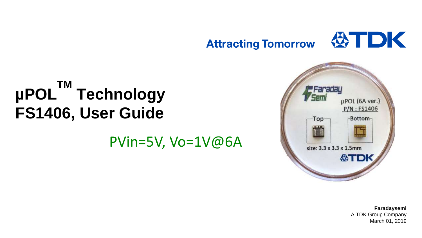

#### **µPOL TM Technology FS1406, User Guide**

PVin=5V, Vo=1V@6A



**Faradaysemi** A TDK Group Company March 01, 2019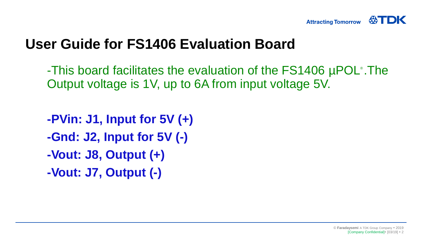

# **User Guide for FS1406 Evaluation Board**

-This board facilitates the evaluation of the FS1406 µPOL® .The Output voltage is 1V, up to 6A from input voltage 5V.

**-PVin: J1, Input for 5V (+) -Gnd: J2, Input for 5V (-) -Vout: J8, Output (+) -Vout: J7, Output (-)**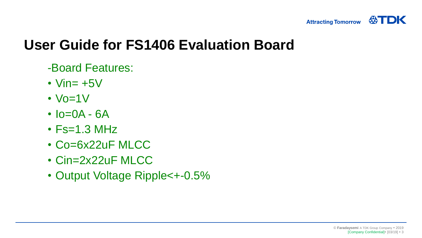

# **User Guide for FS1406 Evaluation Board**

- -Board Features:
- Vin $= +5V$
- $\cdot$  Vo=1V
- $Io = OA GA$
- $\cdot$  Fs=1.3 MHz
- Co=6x22uF MLCC
- Cin=2x22uF MLCC
- Output Voltage Ripple<+-0.5%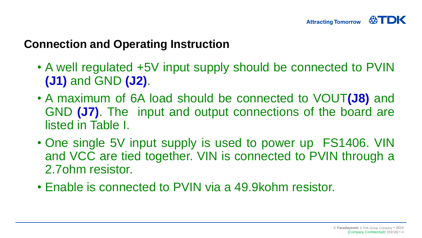#### **Connection and Operating Instruction**

- A well regulated +5V input supply should be connected to PVIN **(J1)** and GND **(J2)**.
- A maximum of 6A load should be connected to VOUT**(J8)** and GND **(J7)**. The input and output connections of the board are listed in Table I.
- One single 5V input supply is used to power up FS1406. VIN and VCC are tied together. VIN is connected to PVIN through a 2.7ohm resistor.
- Enable is connected to PVIN via a 49.9kohm resistor.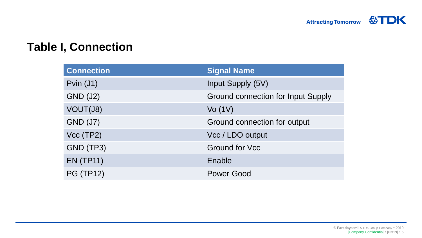#### **Table I, Connection**

| <b>Connection</b> | <b>Signal Name</b>                        |  |
|-------------------|-------------------------------------------|--|
| Pvin $(J1)$       | Input Supply (5V)                         |  |
| <b>GND (J2)</b>   | <b>Ground connection for Input Supply</b> |  |
| VOUT(J8)          | Vo(1V)                                    |  |
| <b>GND (J7)</b>   | Ground connection for output              |  |
| Vcc(TP2)          | Vcc / LDO output                          |  |
| GND (TP3)         | <b>Ground for Vcc</b>                     |  |
| <b>EN (TP11)</b>  | Enable                                    |  |
| <b>PG (TP12)</b>  | <b>Power Good</b>                         |  |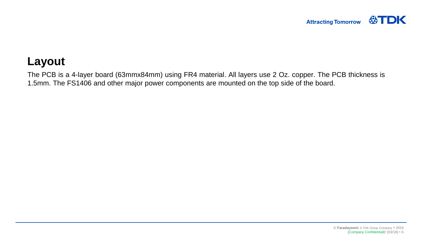### **Layout**

The PCB is a 4-layer board (63mmx84mm) using FR4 material. All layers use 2 Oz. copper. The PCB thickness is 1.5mm. The FS1406 and other major power components are mounted on the top side of the board.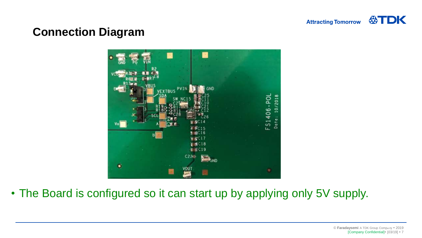

## **Connection Diagram**



• The Board is configured so it can start up by applying only 5V supply.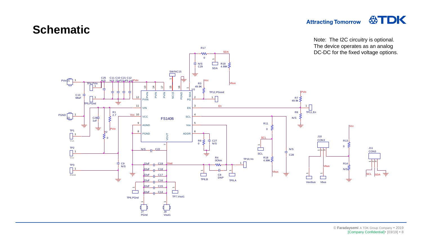

公TDK

#### **Schematic**

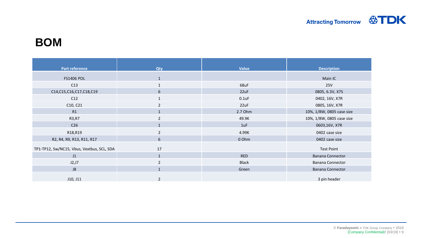#### **BOM**

| <b>Part reference</b>                      | <b>Qty</b>     | Value        | <b>Description</b>        |
|--------------------------------------------|----------------|--------------|---------------------------|
| <b>FS1406 POL</b>                          | $\mathbf{1}$   |              | Main IC                   |
| C13                                        | $\mathbf{1}$   | 68uF         | 25V                       |
| C14,C15,C16,C17,C18,C19                    | 6              | 22uF         | 0805, 6.3V, X7S           |
| C12                                        | $\mathbf{1}$   | $0.1$ uF     | 0402, 16V, X7R            |
| C10, C21                                   | $\overline{2}$ | 22uF         | 0805, 16V, X7R            |
| R1                                         | $\mathbf{1}$   | 2.7 Ohm      | 10%, 1/8W, 0805 case size |
| R3, R7                                     | 2              | 49.9K        | 10%, 1/8W, 0805 case size |
| C <sub>26</sub>                            | $\mathbf{1}$   | 1uF          | 0603,16V, X7R             |
| R18,R19                                    | 2              | 4.99K        | 0402 case size            |
| R2, R4, R9, R13, R11, R17                  | 6              | 0 Ohm        | 0402 case size            |
| TP1-TP12, Sw/NC15, Vbus, Vextbus, SCL, SDA | 17             |              | <b>Test Point</b>         |
| J1                                         | $\mathbf{1}$   | <b>RED</b>   | <b>Banana Connector</b>   |
| J2,J7                                      | $\overline{2}$ | <b>Black</b> | <b>Banana Connector</b>   |
| J8                                         | $\mathbf{1}$   | Green        | <b>Banana Connector</b>   |
| J10, J11                                   | $\overline{2}$ |              | 3 pin header              |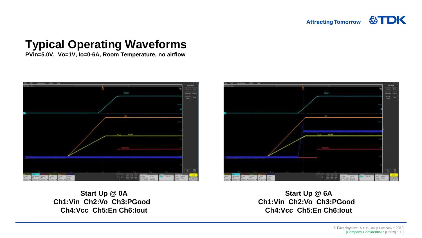## **Typical Operating Waveforms**

**PVin=5.0V, Vo=1V, Io=0-6A, Room Temperature, no airflow**





**Start Up @ 0A Ch1:Vin Ch2:Vo Ch3:PGood Ch4:Vcc Ch5:En Ch6:Iout**

**Start Up @ 6A Ch1:Vin Ch2:Vo Ch3:PGood Ch4:Vcc Ch5:En Ch6:Iout**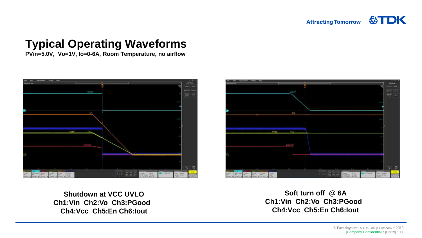## **Typical Operating Waveforms**

**PVin=5.0V, Vo=1V, Io=0-6A, Room Temperature, no airflow**





**Shutdown at VCC UVLO Ch1:Vin Ch2:Vo Ch3:PGood Ch4:Vcc Ch5:En Ch6:Iout**

**Soft turn off @ 6A Ch1:Vin Ch2:Vo Ch3:PGood Ch4:Vcc Ch5:En Ch6:Iout**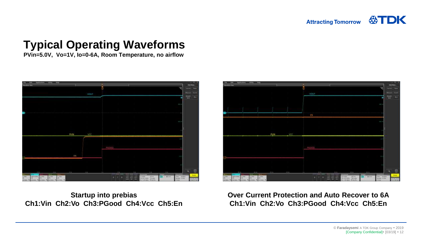## **Typical Operating Waveforms**

**PVin=5.0V, Vo=1V, Io=0-6A, Room Temperature, no airflow**



**Startup into prebias Ch1:Vin Ch2:Vo Ch3:PGood Ch4:Vcc Ch5:En** 



**Over Current Protection and Auto Recover to 6A Ch1:Vin Ch2:Vo Ch3:PGood Ch4:Vcc Ch5:En**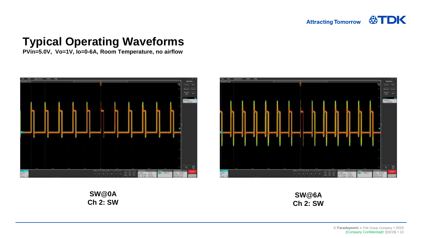## **Typical Operating Waveforms**

**PVin=5.0V, Vo=1V, Io=0-6A, Room Temperature, no airflow**





**SW@0A Ch 2: SW**

**SW@6A Ch 2: SW**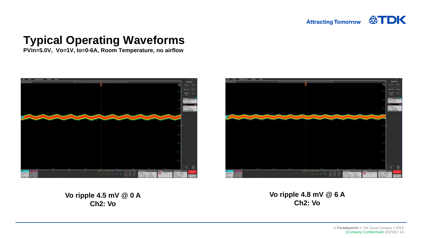## **Typical Operating Waveforms**

**PVin=5.0V, Vo=1V, Io=0-6A, Room Temperature, no airflow**





**Vo ripple 4.5 mV @ 0 A Ch2: Vo**

**Vo ripple 4.8 mV @ 6 A Ch2: Vo**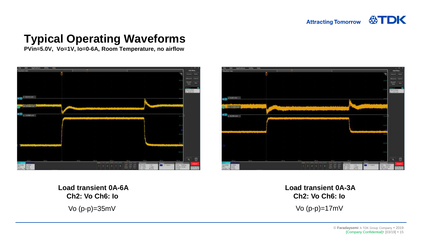## **Typical Operating Waveforms**

**PVin=5.0V, Vo=1V, Io=0-6A, Room Temperature, no airflow**





**Load transient 0A-6A Ch2: Vo Ch6: Io** 

**Load transient 0A-3A Ch2: Vo Ch6: Io**  Vo (p-p)=35mV Vo (p-p)=17mV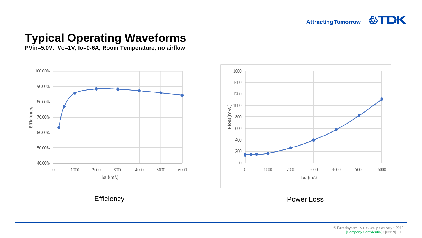## **Typical Operating Waveforms**

**PVin=5.0V, Vo=1V, Io=0-6A, Room Temperature, no airflow**





Efficiency **Power Loss**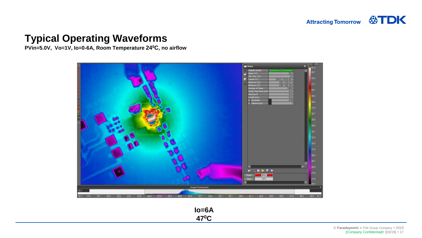#### **Typical Operating Waveforms**

**PVin=5.0V, Vo=1V, Io=0-6A, Room Temperature 24<sup>0</sup>C, no airflow**



**Io=6A 470C**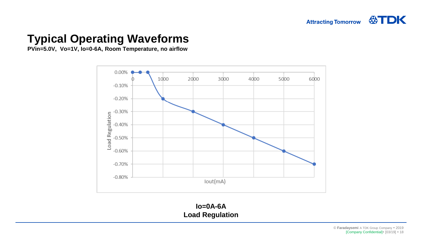### **Typical Operating Waveforms**

**PVin=5.0V, Vo=1V, Io=0-6A, Room Temperature, no airflow**



**Io=0A-6A Load Regulation**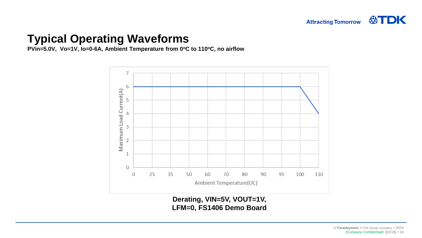#### **Typical Operating Waveforms**

**PVin=5.0V, Vo=1V, Io=0-6A, Ambient Temperature from 0<sup>o</sup>C to 110<sup>o</sup>C, no airflow**



**Derating, VIN=5V, VOUT=1V, LFM=0, FS1406 Demo Board**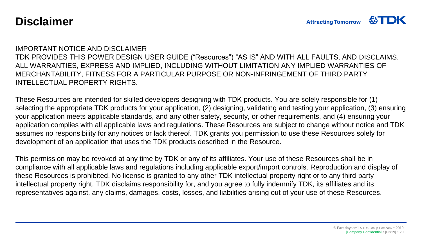#### **Disclaimer**

#### IMPORTANT NOTICE AND DISCLAIMER

TDK PROVIDES THIS POWER DESIGN USER GUIDE ("Resources") "AS IS" AND WITH ALL FAULTS, AND DISCLAIMS. ALL WARRANTIES, EXPRESS AND IMPLIED, INCLUDING WITHOUT LIMITATION ANY IMPLIED WARRANTIES OF MERCHANTABILITY, FITNESS FOR A PARTICULAR PURPOSE OR NON-INFRINGEMENT OF THIRD PARTY INTELLECTUAL PROPERTY RIGHTS.

These Resources are intended for skilled developers designing with TDK products. You are solely responsible for (1) selecting the appropriate TDK products for your application, (2) designing, validating and testing your application, (3) ensuring your application meets applicable standards, and any other safety, security, or other requirements, and (4) ensuring your application complies with all applicable laws and regulations. These Resources are subject to change without notice and TDK assumes no responsibility for any notices or lack thereof. TDK grants you permission to use these Resources solely for development of an application that uses the TDK products described in the Resource.

This permission may be revoked at any time by TDK or any of its affiliates. Your use of these Resources shall be in compliance with all applicable laws and regulations including applicable export/import controls. Reproduction and display of these Resources is prohibited. No license is granted to any other TDK intellectual property right or to any third party intellectual property right. TDK disclaims responsibility for, and you agree to fully indemnify TDK, its affiliates and its representatives against, any claims, damages, costs, losses, and liabilities arising out of your use of these Resources.